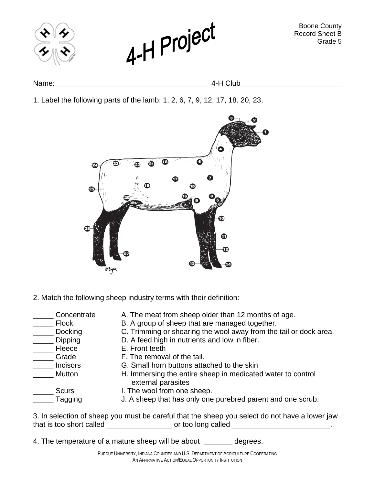

Boone County Record Sheet B Grade 5



Name: 4-H Club

1. Label the following parts of the lamb: 1, 2, 6, 7, 9, 12, 17, 18. 20, 23,



2. Match the following sheep industry terms with their definition:

- 
- 
- 
- 
- 
- 
- 
- 
- Concentrate A. The meat from sheep older than 12 months of age.<br>
Flock B. A group of sheep that are managed together.
- \_\_\_\_\_ Flock B. A group of sheep that are managed together.<br>\_\_\_\_\_ Docking C. Trimming or shearing the wool away from the
	- C. Trimming or shearing the wool away from the tail or dock area.
	- Dipping **D.** A feed high in nutrients and low in fiber.
	- Fleece **E. Front teeth** 
		- Grade F. The removal of the tail.
		- Incisors **G. Small horn buttons attached to the skin**
		- Mutton H. Immersing the entire sheep in medicated water to control external parasites
- 
- Scurs I. The wool from one sheep.
- **Tagging** J. A sheep that has only one purebred parent and one scrub.

3. In selection of sheep you must be careful that the sheep you select do not have a lower jaw that is too short called example or too long called  $\sim$ 

4. The temperature of a mature sheep will be about degrees.